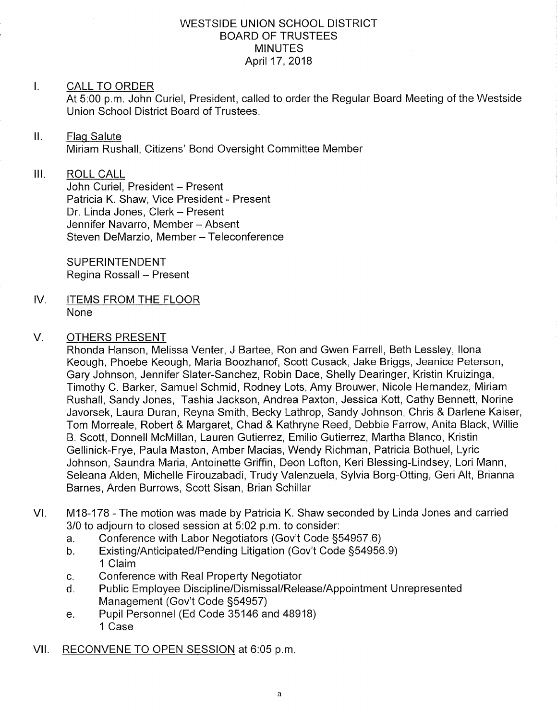#### WESTSIDE UNION SCHOOL DISTRICT BOARD OF TRUSTEES MINUTES April 17,2018

#### I. CALL TO ORDER

At 5:00 p.m. John Curiel, President, called to order the Regular Board Meeting of the Westside Union School District Board of Trustees.

#### $II.$ Flaq Salute

Miriam Rushall, Citizens' Bond Oversight Committee Member

#### III. ROLL CALL

John Curiel, President - Present Patricia K. Shaw, Vice President - Present Dr. Linda Jones, Clerk - Present Jennifer Navarro, Member - Absent Steven DeMarzio, Member - Teleconference

SUPERINTENDENT Regina Rossall - Present

IV, ITEMS FROM THE FLOOR None

#### V. OTHERS PRESENT

Rhonda Hanson, Melissa Venter, J Bartee, Ron and Gwen Farrell, Beth Lessley, llona Keough, Phoebe Keough, Maria Boozhanof, Scott Cusack, Jake Briggs, Jeanice Peterson, Gary Johnson, Jennifer Slater-Sanchez, Robin Dace, Shelly Dearinger, Kristin Kruizinga, Timothy C. Barker, Samuel Schmid, Rodney Lots, Amy Brouwer, Nicole Hernandez, Miriam Rushall, Sandy Jones, Tashia Jackson, Andrea Paxton, Jessica Kott, Cathy Bennett, Norine Javorsek, Laura Duran, Reyna Smith, Becky Lathrop, Sandy Johnson, Chris & Darlene Kaiser, Tom Morreale, Roberl & Margaret, Chad & Kathryne Reed, Debbie Farrow, Anita Black, Willie B. Scott, Donnell McMillan, Lauren Gutierrez, Emilio Gutierrez, Martha Blanco, Kristin Gellinick-Frye, Paula Maston, Amber Macias, Wendy Richman, Patricia Bothuel, Lyric Johnson, Saundra Maria, Antoinette Griffin, Deon Lofton, Keri Blessing-Lindsey, Lori Mann, Seleana Alden, Michelle Firouzabadi, Trudy Valenzuela, Sylvia Borg-Otting, Geri Alt, Brianna Barnes, Arden Burrows, Scott Sisan, Brian Schillar

- VI. M18-178 The motion was made by Patricia K. Shaw seconded by Linda Jones and carried 3/0 to adjourn to closed session at 5:02 p.m. to consider:<br>a. Conference with Labor Negotiators (Gov't Code §54957.6)
	-
	- a. Conference with Labor Negotiators (Gov't Code §54957.6)<br>b. Existing/Anticipated/Pending Litigation (Gov't Code §54956.9) 1 Claim
	-
	- c. Conference with Real Property Negotiator<br>d. Public Employee Discipline/Dismissal/Release/Appointment Unrepresented Management (Gov't Code 554957) e. Pupil Personnel (Ed Code 35146 and 48918)
	- 1 Case
- Vll. RECONVENE TO OPEN SESSION at 6:05 p.m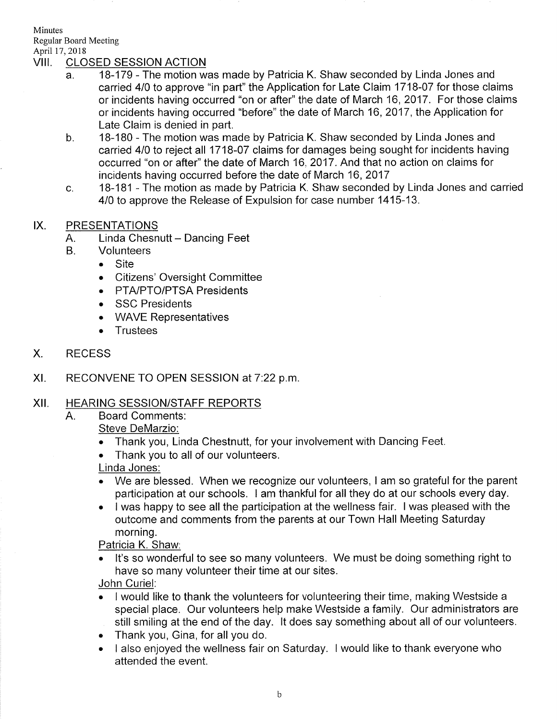Minutes Regular Board Meeting

# April 17, 2018<br>VIII. CLOSED SESSION ACTION

- a 18-179 - The motion was made by Patricia K. Shaw seconded by Linda Jones and carried 4/0 to approve "in part" the Application for Late Claim 1718-07 for those claims or incidents having occurred "on or after" the date of March 16, 2017. For those claims or incidents having occurred "before" the date of March 16,2017, the Application for Late Claim is denied in part.
- $b<sub>1</sub>$ 18-180 - The motion was made by Patricia K. Shaw seconded by Linda Jones and carried 410 to reject all 1718-07 claims for damages being sought for incidents having occurred "on or after" the date of March 16,2017. And that no action on claims for incidents having occurred before the date of March 16,2017
- c 18-181 - The motion as made by Patricia K. Shaw seconded by Linda Jones and carried 4/0 to approve the Release of Expulsion for case number 1415-13.

### IX. PRESENTATIONS

- A. Linda Chesnutt Dancing Feet
- **Volunteers**  $B<sub>r</sub>$ 
	- . Site
	- . Citizens' Oversight Committee
	- PTA/PTO/PTSA Presidents
	- . SSC Presidents
	- . WAVE Representatives
	- . Trustees
- X. RECESS
- $XI.$  RECONVENE TO OPEN SESSION at  $7:22$  p.m.

#### XII. HEARING SESSION/STAFF REPORTS

A. Board Comments:

Steve DeMarzio:

- . Thank you, Linda Chestnutt, for your involvement with Dancing Feet.
- . Thank you to all of our volunteers.

#### Linda Jones:

- . We are blessed. When we recognize our volunteers, I am so grateful for the parent participation at our schools. I am thankful for all they do at our schools every day.
- . I was happy to see all the participation at the wellness fair. <sup>I</sup>was pleased with the outcome and comments from the parents at our Town Hall Meeting Saturday morning.

#### Patricia K. Shaw:

. lt's so wonderful to see so many volunteers. We must be doing something right to have so many volunteer their time at our sites.

John Curiel:

- . I would like to thank the volunteers for volunteering their time, making Westside <sup>a</sup> special place. Our volunteers help make Westside a family. Our administrators are still smiling at the end of the day. lt does say something about all of our volunteers.
- . Thank you, Gina, for all you do.
- . I also enjoyed the wellness fair on Saturday. I would like to thank everyone who attended the event.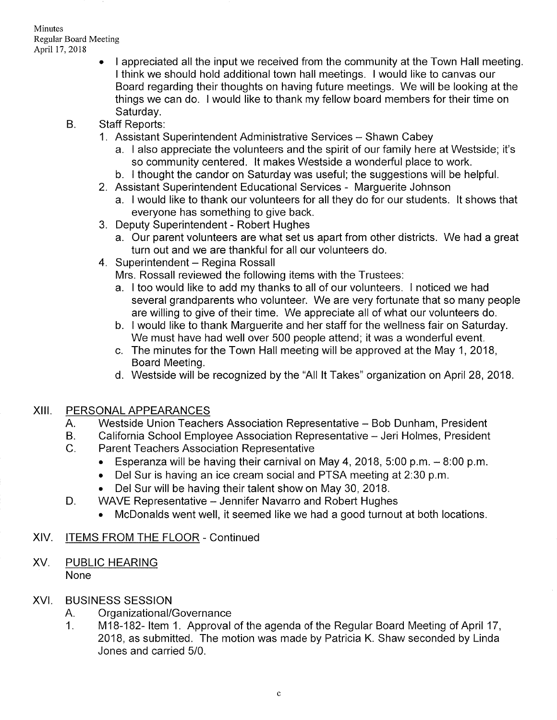- I appreciated all the input we received from the community at the Town Hall meeting. <sup>I</sup>think we should hold additional town hall meetings. I would like to canvas our Board regarding their thoughts on having future meetings. We will be looking at the things we can do. I would like to thank my fellow board members for their time on Saturday.
- B. Staff Reports:
	- 1. Assistant Superintendent Administrative Services Shawn Cabey
		- a. I also appreciate the volunteers and the spirit of our family here at Westside; it's
		- b. I thought the candor on Saturday was useful; the suggestions will be helpful.
	- 2. Assistant Superintendent Educational Services Marguerite Johnson
	- a. I would like to thank our volunteers for all they do for our students. lt shows that everyone has something to give back. 3. Deputy Superintendent - Robert Hughes
	- - a. Our parent volunteers are what set us apart from other districts. We had a great turn out and we are thankful for all our volunteers do.
	- 4. Superintendent Regina Rossall

Mrs. Rossall reviewed the following items with the Trustees:

- a. I too would like to add my thanks to all of our volunteers. I noticed we had several grandparents who volunteer. We are very fortunate that so many people are willing to give of their time. We appreciate all of what our volunteers do.
- b. I would like to thank Marguerite and her staff for the wellness fair on Saturday. We must have had well over 500 people attend; it was a wonderful event.
- c. The minutes for the Town Hall meeting will be approved at the May 1,2018, Board Meeting.
- d. Westside will be recognized by the "All lt Takes" organization on April 28, 2018.

# XIII. PERSONALAPPEARANCES

- A. Westside Union Teachers Association Representative - Bob Dunham, President
- B. California School Employee Association Representative - Jeri Holmes, President
- $C<sub>1</sub>$ Parent Teachers Association Representative
	- Esperanza will be having their carnival on May 4, 2018, 5:00 p.m.  $-8:00$  p.m.
	- . Del Sur is having an ice cream social and PTSA meeting at 2.30 p.m.
	- . Del Sur will be having their talent show on May 30, 2018.
- WAVE Representative Jennifer Navarro and Robert Hughes  $D.$ 
	- . McDonalds went well, it seemed like we had a good turnout at both locations.

# XlV. ITEMS FROM THE FLOOR - Continued

XV. PUBLIC HEARING None

# XVI. BUSINESS SESSION

- 
- A. Organizational/Governance<br>1. M18-182- Item 1. Approval of the agenda of the Regular Board Meeting of April 17, 2018, as submitted. The motion was made by Patricia K. Shaw seconded by Linda Jones and carried 5/0.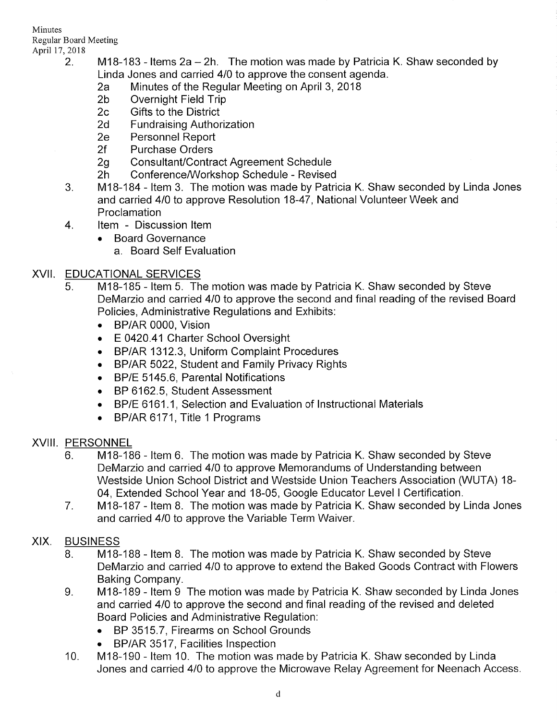Minutes Regular Board Meeting

- April 17, 2018<br>2. M18-183 Items 2a 2h. The motion was made by Patricia K. Shaw seconded by Linda Jones and carried 410 to approve the consent agenda. 2a Minutes of the Regular Meeting on April 3,2018 2b Overnight Field Trip 2c Gifts to the District
	-
	-
	-
	- 2d Fundraising Authorization<br>2e Personnel Report<br>2f Purchase Orders
	-
	-
	-
	-
	- 2g Consultant/Contract Agreement Schedule<br>2h Conference/Workshop Schedule Revised<br>3. M18-184 Item 3. The motion was made by Patricia K. Shaw seconded by Linda Jones and carried 410 to approve Resolution 18-47 , National Volunteer Week and Proclamation
	- 4. ltem Discussion ltem
		- . Board Governance
			- a. Board Self Evaluation

## XVII. EDUCATIONAL SERVICES

- <sup>5</sup> M18-185 ltem 5. The motion was made by Patricia K. Shaw seconded by Steve DeMarzio and carried 410 to approve the second and final reading of the revised Board Policies, Administrative Regulations and Exhibits:
	- . BP/AR 0000, Vision
	- E 0420.41 Charter School Oversight
	- BP/AR 1312.3, Uniform Complaint Procedures
	- . BP/AR 5022, Student and Family Privacy Rights
	- . BP/E 5145.6, Parental Notifications
	- . BP 6162.5, Student Assessment
	- $\blacktriangleright$   $\;$  BP/E 6161.1, Selection and Evaluation of Instructional Materials
	- BP/AR 6171, Title 1 Programs

# XVIII. PERSONNEL

- 6. M18-186 Item 6. The motion was made by Patricia K. Shaw seconded by Steve DeMarzio and carried 410 to approve Memorandums of Understanding between Westside Union School District and Westside Union Teachers Association (WUTA) 18- 04, Extended School Year and 18-05, Google Educator Level I Certification.
- M18-187 ltem 8. The motion was made by Patricia K. Shaw seconded by Linda Jones and carried 410 to approve the Variable Term Waiver. 7

# XIX. BUSINESS

- 8. M18-188 Item 8. The motion was made by Patricia K. Shaw seconded by Steve DeMarzio and carried 410 to approve to extend the Baked Goods Contract with Flowers Baking Company.
- M18-189 Item 9 The motion was made by Patricia K. Shaw seconded by Linda Jones and carried 4/0 to approve the second and final reading of the revised and deleted Board Policies and Administrative Regulation:  $9<sub>1</sub>$ 
	- . BP 3515.7, Firearms on School Grounds
	- BP/AR 3517, Facilities Inspection
- M18-190 ltem 10. The motion was made by Patricia K. Shaw seconded by Linda Jones and carried 410 to approve the Microwave Relay Agreement for Neenach Access 10